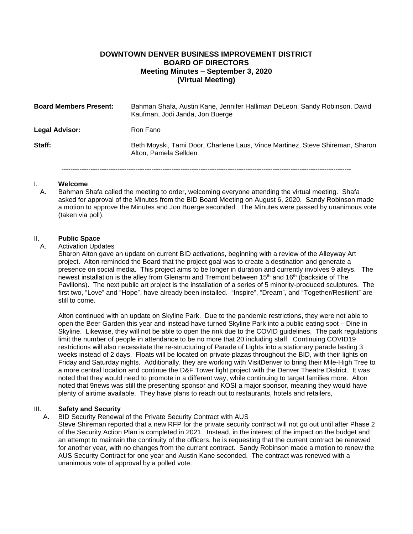# **DOWNTOWN DENVER BUSINESS IMPROVEMENT DISTRICT BOARD OF DIRECTORS Meeting Minutes – September 3, 2020 (Virtual Meeting)**

| <b>Board Members Present:</b> | Bahman Shafa, Austin Kane, Jennifer Halliman DeLeon, Sandy Robinson, David<br>Kaufman, Jodi Janda, Jon Buerge |
|-------------------------------|---------------------------------------------------------------------------------------------------------------|
| <b>Legal Advisor:</b>         | Ron Fano                                                                                                      |
| Staff:                        | Beth Moyski, Tami Door, Charlene Laus, Vince Martinez, Steve Shireman, Sharon<br>Alton, Pamela Sellden        |

#### I. **Welcome**

A. Bahman Shafa called the meeting to order, welcoming everyone attending the virtual meeting. Shafa asked for approval of the Minutes from the BID Board Meeting on August 6, 2020. Sandy Robinson made a motion to approve the Minutes and Jon Buerge seconded. The Minutes were passed by unanimous vote (taken via poll).

**---------------------------------------------------------------------------------------------------------------------------------**

### II. **Public Space**

### A. Activation Updates

Sharon Alton gave an update on current BID activations, beginning with a review of the Alleyway Art project. Alton reminded the Board that the project goal was to create a destination and generate a presence on social media. This project aims to be longer in duration and currently involves 9 alleys. The newest installation is the alley from Glenarm and Tremont between 15th and 16th (backside of The Pavilions). The next public art project is the installation of a series of 5 minority-produced sculptures. The first two, "Love" and "Hope", have already been installed. "Inspire", "Dream", and "Together/Resilient" are still to come.

Alton continued with an update on Skyline Park. Due to the pandemic restrictions, they were not able to open the Beer Garden this year and instead have turned Skyline Park into a public eating spot – Dine in Skyline. Likewise, they will not be able to open the rink due to the COVID guidelines. The park regulations limit the number of people in attendance to be no more that 20 including staff. Continuing COVID19 restrictions will also necessitate the re-structuring of Parade of Lights into a stationary parade lasting 3 weeks instead of 2 days. Floats will be located on private plazas throughout the BID, with their lights on Friday and Saturday nights. Additionally, they are working with VisitDenver to bring their Mile-High Tree to a more central location and continue the D&F Tower light project with the Denver Theatre District. It was noted that they would need to promote in a different way, while continuing to target families more. Alton noted that 9news was still the presenting sponsor and KOSI a major sponsor, meaning they would have plenty of airtime available. They have plans to reach out to restaurants, hotels and retailers,

### III. **Safety and Security**

### A. BID Security Renewal of the Private Security Contract with AUS

Steve Shireman reported that a new RFP for the private security contract will not go out until after Phase 2 of the Security Action Plan is completed in 2021. Instead, in the interest of the impact on the budget and an attempt to maintain the continuity of the officers, he is requesting that the current contract be renewed for another year, with no changes from the current contract. Sandy Robinson made a motion to renew the AUS Security Contract for one year and Austin Kane seconded. The contract was renewed with a unanimous vote of approval by a polled vote.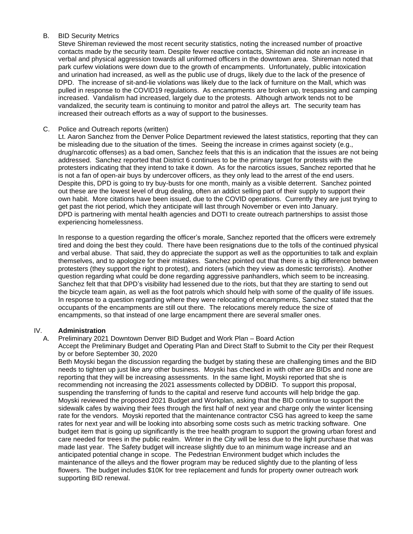# B. BID Security Metrics

Steve Shireman reviewed the most recent security statistics, noting the increased number of proactive contacts made by the security team. Despite fewer reactive contacts, Shireman did note an increase in verbal and physical aggression towards all uniformed officers in the downtown area. Shireman noted that park curfew violations were down due to the growth of encampments. Unfortunately, public intoxication and urination had increased, as well as the public use of drugs, likely due to the lack of the presence of DPD. The increase of sit-and-lie violations was likely due to the lack of furniture on the Mall, which was pulled in response to the COVID19 regulations. As encampments are broken up, trespassing and camping increased. Vandalism had increased, largely due to the protests. Although artwork tends not to be vandalized, the security team is continuing to monitor and patrol the alleys art. The security team has increased their outreach efforts as a way of support to the businesses.

# C. Police and Outreach reports (written)

Lt. Aaron Sanchez from the Denver Police Department reviewed the latest statistics, reporting that they can be misleading due to the situation of the times. Seeing the increase in crimes against society (e.g., drug/narcotic offenses) as a bad omen, Sanchez feels that this is an indication that the issues are not being addressed. Sanchez reported that District 6 continues to be the primary target for protests with the protesters indicating that they intend to take it down. As for the narcotics issues, Sanchez reported that he is not a fan of open-air buys by undercover officers, as they only lead to the arrest of the end users. Despite this, DPD is going to try buy-busts for one month, mainly as a visible deterrent. Sanchez pointed out these are the lowest level of drug dealing, often an addict selling part of their supply to support their own habit. More citations have been issued, due to the COVID operations. Currently they are just trying to get past the riot period, which they anticipate will last through November or even into January. DPD is partnering with mental health agencies and DOTI to create outreach partnerships to assist those experiencing homelessness.

In response to a question regarding the officer's morale, Sanchez reported that the officers were extremely tired and doing the best they could. There have been resignations due to the tolls of the continued physical and verbal abuse. That said, they do appreciate the support as well as the opportunities to talk and explain themselves, and to apologize for their mistakes. Sanchez pointed out that there is a big difference between protesters (they support the right to protest), and rioters (which they view as domestic terrorists). Another question regarding what could be done regarding aggressive panhandlers, which seem to be increasing. Sanchez felt that that DPD's visibility had lessened due to the riots, but that they are starting to send out the bicycle team again, as well as the foot patrols which should help with some of the quality of life issues. In response to a question regarding where they were relocating of encampments, Sanchez stated that the occupants of the encampments are still out there. The relocations merely reduce the size of encampments, so that instead of one large encampment there are several smaller ones.

# IV. **Administration**

## A. Preliminary 2021 Downtown Denver BID Budget and Work Plan – Board Action

Accept the Preliminary Budget and Operating Plan and Direct Staff to Submit to the City per their Request by or before September 30, 2020

Beth Moyski began the discussion regarding the budget by stating these are challenging times and the BID needs to tighten up just like any other business. Moyski has checked in with other are BIDs and none are reporting that they will be increasing assessments. In the same light, Moyski reported that she is recommending not increasing the 2021 assessments collected by DDBID. To support this proposal, suspending the transferring of funds to the capital and reserve fund accounts will help bridge the gap. Moyski reviewed the proposed 2021 Budget and Workplan, asking that the BID continue to support the sidewalk cafes by waiving their fees through the first half of next year and charge only the winter licensing rate for the vendors. Moyski reported that the maintenance contractor CSG has agreed to keep the same rates for next year and will be looking into absorbing some costs such as metric tracking software. One budget item that is going up significantly is the tree health program to support the growing urban forest and care needed for trees in the public realm. Winter in the City will be less due to the light purchase that was made last year. The Safety budget will increase slightly due to an minimum wage increase and an anticipated potential change in scope. The Pedestrian Environment budget which includes the maintenance of the alleys and the flower program may be reduced slightly due to the planting of less flowers. The budget includes \$10K for tree replacement and funds for property owner outreach work supporting BID renewal.